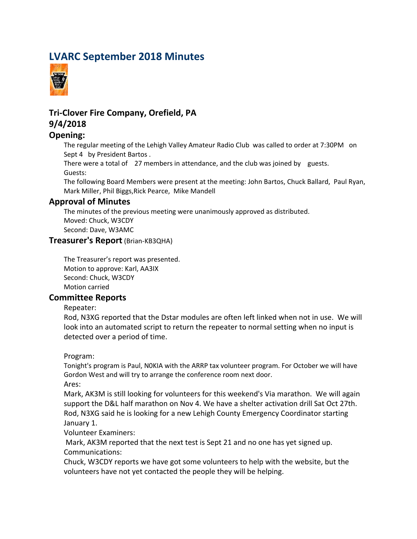# **LVARC September 2018 Minutes**



## **Tri-Clover Fire Company, Orefield, PA 9/4/2018**

#### **Opening:**

The regular meeting of the Lehigh Valley Amateur Radio Club was called to order at 7:30PM on Sept 4 by President Bartos .

There were a total of 27 members in attendance, and the club was joined by guests. Guests:

The following Board Members were present at the meeting: John Bartos, Chuck Ballard, Paul Ryan, Mark Miller, Phil Biggs,Rick Pearce, Mike Mandell

#### **Approval of Minutes**

The minutes of the previous meeting were unanimously approved as distributed. Moved: Chuck, W3CDY Second: Dave, W3AMC

#### **Treasurer's Report** (Brian-KB3QHA)

The Treasurer's report was presented. Motion to approve: Karl, AA3IX Second: Chuck, W3CDY Motion carried

#### **Committee Reports**

Repeater:

Rod, N3XG reported that the Dstar modules are often left linked when not in use. We will look into an automated script to return the repeater to normal setting when no input is detected over a period of time.

Program:

Tonight's program is Paul, N0KIA with the ARRP tax volunteer program. For October we will have Gordon West and will try to arrange the conference room next door. Ares:

Mark, AK3M is still looking for volunteers for this weekend's Via marathon. We will again support the D&L half marathon on Nov 4. We have a shelter activation drill Sat Oct 27th. Rod, N3XG said he is looking for a new Lehigh County Emergency Coordinator starting January 1.

Volunteer Examiners:

 Mark, AK3M reported that the next test is Sept 21 and no one has yet signed up. Communications:

Chuck, W3CDY reports we have got some volunteers to help with the website, but the volunteers have not yet contacted the people they will be helping.